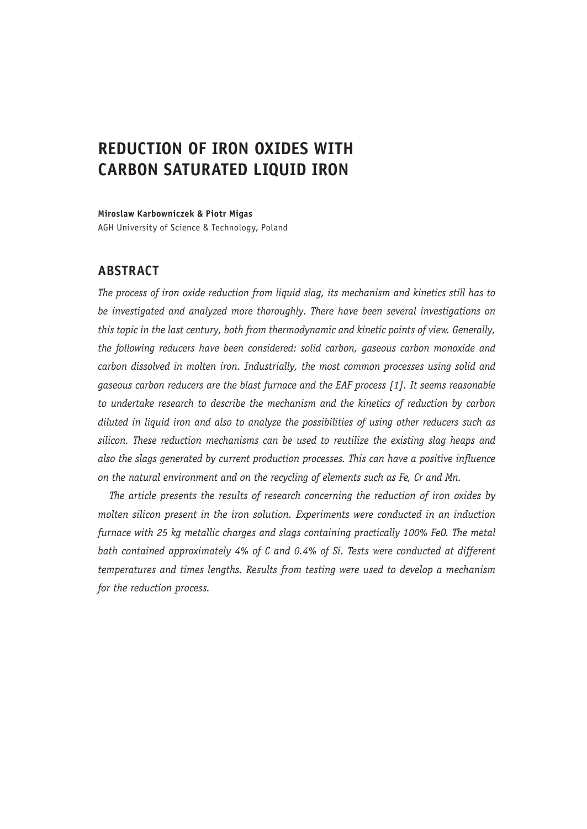# **REDUCTION OF IRON OXIDES WITH CARBON SATURATED LIQUID IRON**

**Miroslaw Karbowniczek & Piotr Migas**

AGH University of Science & Technology, Poland

## **ABSTRACT**

*The process of iron oxide reduction from liquid slag, its mechanism and kinetics still has to be investigated and analyzed more thoroughly. There have been several investigations on this topic in the last century, both from thermodynamic and kinetic points of view. Generally, the following reducers have been considered: solid carbon, gaseous carbon monoxide and carbon dissolved in molten iron. Industrially, the most common processes using solid and gaseous carbon reducers are the blast furnace and the EAF process [1]. It seems reasonable to undertake research to describe the mechanism and the kinetics of reduction by carbon diluted in liquid iron and also to analyze the possibilities of using other reducers such as silicon. These reduction mechanisms can be used to reutilize the existing slag heaps and also the slags generated by current production processes. This can have a positive influence on the natural environment and on the recycling of elements such as Fe, Cr and Mn.*

*The article presents the results of research concerning the reduction of iron oxides by molten silicon present in the iron solution. Experiments were conducted in an induction furnace with 25 kg metallic charges and slags containing practically 100% FeO. The metal bath contained approximately 4% of C and 0.4% of Si. Tests were conducted at different temperatures and times lengths. Results from testing were used to develop a mechanism for the reduction process.*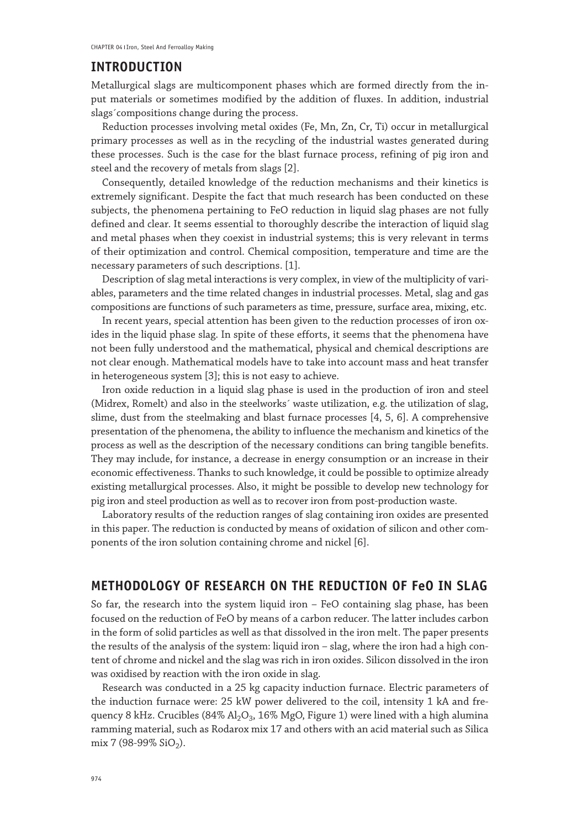#### **INTRODUCTION**

Metallurgical slags are multicomponent phases which are formed directly from the input materials or sometimes modified by the addition of fluxes. In addition, industrial slags´compositions change during the process.

Reduction processes involving metal oxides (Fe, Mn, Zn, Cr, Ti) occur in metallurgical primary processes as well as in the recycling of the industrial wastes generated during these processes. Such is the case for the blast furnace process, refining of pig iron and steel and the recovery of metals from slags [2].

Consequently, detailed knowledge of the reduction mechanisms and their kinetics is extremely significant. Despite the fact that much research has been conducted on these subjects, the phenomena pertaining to FeO reduction in liquid slag phases are not fully defined and clear. It seems essential to thoroughly describe the interaction of liquid slag and metal phases when they coexist in industrial systems; this is very relevant in terms of their optimization and control. Chemical composition, temperature and time are the necessary parameters of such descriptions. [1].

Description of slag metal interactions is very complex, in view of the multiplicity of variables, parameters and the time related changes in industrial processes. Metal, slag and gas compositions are functions of such parameters as time, pressure, surface area, mixing, etc.

In recent years, special attention has been given to the reduction processes of iron oxides in the liquid phase slag. In spite of these efforts, it seems that the phenomena have not been fully understood and the mathematical, physical and chemical descriptions are not clear enough. Mathematical models have to take into account mass and heat transfer in heterogeneous system [3]; this is not easy to achieve.

Iron oxide reduction in a liquid slag phase is used in the production of iron and steel (Midrex, Romelt) and also in the steelworks´ waste utilization, e.g. the utilization of slag, slime, dust from the steelmaking and blast furnace processes [4, 5, 6]. A comprehensive presentation of the phenomena, the ability to influence the mechanism and kinetics of the process as well as the description of the necessary conditions can bring tangible benefits. They may include, for instance, a decrease in energy consumption or an increase in their economic effectiveness. Thanks to such knowledge, it could be possible to optimize already existing metallurgical processes. Also, it might be possible to develop new technology for pig iron and steel production as well as to recover iron from post-production waste.

Laboratory results of the reduction ranges of slag containing iron oxides are presented in this paper. The reduction is conducted by means of oxidation of silicon and other components of the iron solution containing chrome and nickel [6].

### **METHODOLOGY OF RESEARCH ON THE REDUCTION OF FeO IN SLAG**

So far, the research into the system liquid iron – FeO containing slag phase, has been focused on the reduction of FeO by means of a carbon reducer. The latter includes carbon in the form of solid particles as well as that dissolved in the iron melt. The paper presents the results of the analysis of the system: liquid iron – slag, where the iron had a high content of chrome and nickel and the slag was rich in iron oxides. Silicon dissolved in the iron was oxidised by reaction with the iron oxide in slag.

Research was conducted in a 25 kg capacity induction furnace. Electric parameters of the induction furnace were: 25 kW power delivered to the coil, intensity 1 kA and frequency 8 kHz. Crucibles (84%  $A1_2O_3$ , 16% MgO, Figure 1) were lined with a high alumina ramming material, such as Rodarox mix 17 and others with an acid material such as Silica mix 7 (98-99%  $SiO<sub>2</sub>$ ).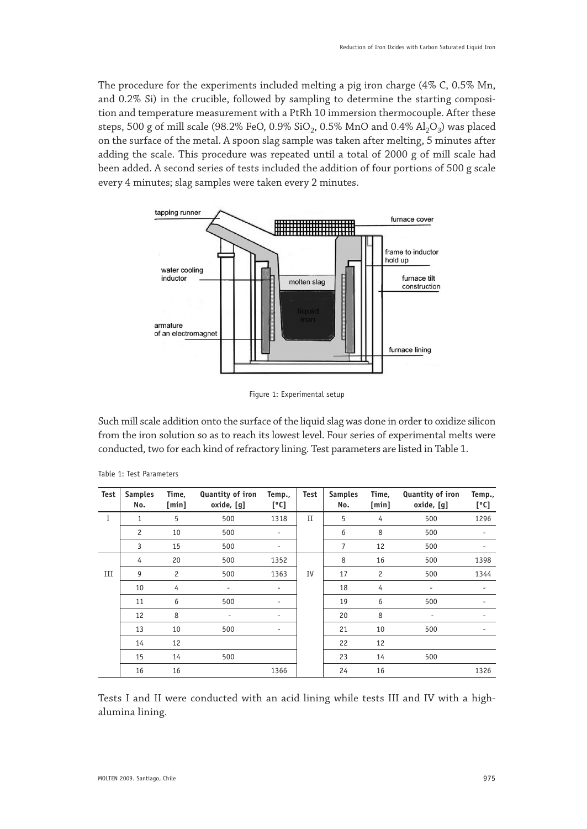The procedure for the experiments included melting a pig iron charge (4% C, 0.5% Mn, and 0.2% Si) in the crucible, followed by sampling to determine the starting composition and temperature measurement with a PtRh 10 immersion thermocouple. After these steps, 500 g of mill scale (98.2% FeO, 0.9%  $SiO_2$ , 0.5% MnO and 0.4%  $Al_2O_3$ ) was placed on the surface of the metal. A spoon slag sample was taken after melting, 5 minutes after adding the scale. This procedure was repeated until a total of 2000 g of mill scale had been added. A second series of tests included the addition of four portions of 500 g scale every 4 minutes; slag samples were taken every 2 minutes.



Figure 1: Experimental setup

Such mill scale addition onto the surface of the liquid slag was done in order to oxidize silicon from the iron solution so as to reach its lowest level. Four series of experimental melts were conducted, two for each kind of refractory lining. Test parameters are listed in Table 1.

| Test | <b>Samples</b><br>No. | Time,<br>[min] | Quantity of iron<br>oxide, [g] | Temp.,<br>[°C]               | Test | <b>Samples</b><br>No. | Time,<br>[min] | Quantity of iron<br>oxide, [g] | Temp.,<br>[°C]           |
|------|-----------------------|----------------|--------------------------------|------------------------------|------|-----------------------|----------------|--------------------------------|--------------------------|
| I    | 1                     | 5              | 500                            | 1318                         | П    | 5                     | 4              | 500                            | 1296                     |
|      | $\overline{c}$        | 10             | 500                            | $\overline{\phantom{a}}$     |      | 6                     | 8              | 500                            | $\overline{\phantom{a}}$ |
|      | 3                     | 15             | 500                            | $\qquad \qquad \blacksquare$ |      | 7                     | 12             | 500                            |                          |
|      | 4                     | 20             | 500                            | 1352                         |      | 8                     | 16             | 500                            | 1398                     |
| Ш    | 9                     | $\overline{c}$ | 500                            | 1363                         | IV   | 17                    | $\overline{c}$ | 500                            | 1344                     |
|      | 10                    | 4              | $\overline{a}$                 | $\overline{\phantom{a}}$     |      | 18                    | 4              | $\overline{\phantom{a}}$       | ٠                        |
|      | 11                    | 6              | 500                            | $\overline{\phantom{a}}$     |      | 19                    | 6              | 500                            |                          |
|      | 12                    | 8              | ٠                              | ٠                            |      | 20                    | 8              | ٠                              |                          |
|      | 13                    | 10             | 500                            | ٠                            |      | 21                    | 10             | 500                            |                          |
|      | 14                    | 12             |                                |                              |      | 22                    | 12             |                                |                          |
|      | 15                    | 14             | 500                            |                              |      | 23                    | 14             | 500                            |                          |
|      | 16                    | 16             |                                | 1366                         |      | 24                    | 16             |                                | 1326                     |

|  |  |  | Table 1: Test Parameters |
|--|--|--|--------------------------|
|--|--|--|--------------------------|

Tests I and II were conducted with an acid lining while tests III and IV with a highalumina lining.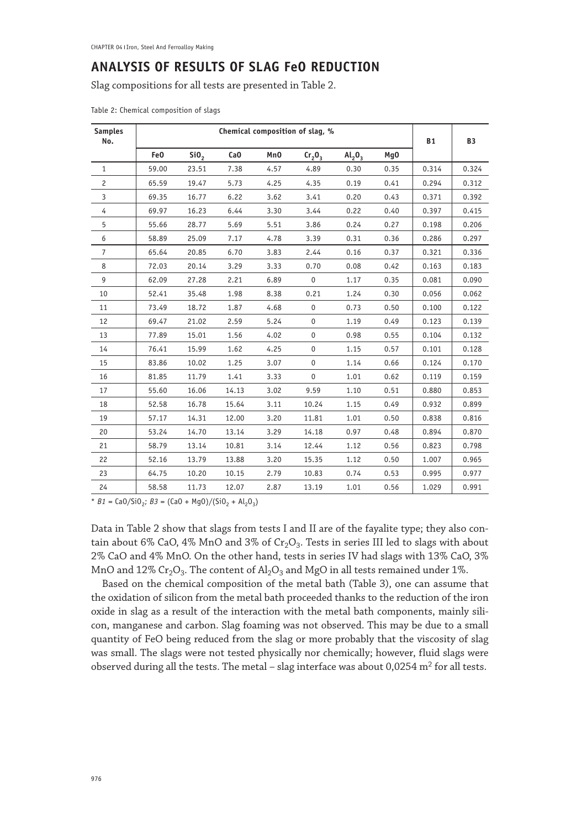## **ANALYSIS OF RESULTS OF SLAG FeO REDUCTION**

Slag compositions for all tests are presented in Table 2.

|  |  |  | Table 2: Chemical composition of slags |  |  |
|--|--|--|----------------------------------------|--|--|
|--|--|--|----------------------------------------|--|--|

| <b>Samples</b><br>No. |       | <b>B1</b>        | <b>B3</b>       |      |                                |           |      |       |       |
|-----------------------|-------|------------------|-----------------|------|--------------------------------|-----------|------|-------|-------|
|                       | Fe0   | SiO <sub>2</sub> | Ca <sub>0</sub> | MnO  | Cr <sub>2</sub> O <sub>3</sub> | $Al_2O_3$ | Mq0  |       |       |
| $\mathbf{1}$          | 59.00 | 23.51            | 7.38            | 4.57 | 4.89                           | 0.30      | 0.35 | 0.314 | 0.324 |
| $\overline{c}$        | 65.59 | 19.47            | 5.73            | 4.25 | 4.35                           | 0.19      | 0.41 | 0.294 | 0.312 |
| $\overline{3}$        | 69.35 | 16.77            | 6.22            | 3.62 | 3.41                           | 0.20      | 0.43 | 0.371 | 0.392 |
| $\overline{4}$        | 69.97 | 16.23            | 6.44            | 3.30 | 3.44                           | 0.22      | 0.40 | 0.397 | 0.415 |
| 5                     | 55.66 | 28.77            | 5.69            | 5.51 | 3.86                           | 0.24      | 0.27 | 0.198 | 0.206 |
| 6                     | 58.89 | 25.09            | 7.17            | 4.78 | 3.39                           | 0.31      | 0.36 | 0.286 | 0.297 |
| $\overline{7}$        | 65.64 | 20.85            | 6.70            | 3.83 | 2.44                           | 0.16      | 0.37 | 0.321 | 0.336 |
| 8                     | 72.03 | 20.14            | 3.29            | 3.33 | 0.70                           | 0.08      | 0.42 | 0.163 | 0.183 |
| 9                     | 62.09 | 27.28            | 2.21            | 6.89 | $\mathbf 0$                    | 1.17      | 0.35 | 0.081 | 0.090 |
| 10                    | 52.41 | 35.48            | 1.98            | 8.38 | 0.21                           | 1.24      | 0.30 | 0.056 | 0.062 |
| 11                    | 73.49 | 18.72            | 1.87            | 4.68 | $\mathsf 0$                    | 0.73      | 0.50 | 0.100 | 0.122 |
| 12                    | 69.47 | 21.02            | 2.59            | 5.24 | $\mathbf 0$                    | 1.19      | 0.49 | 0.123 | 0.139 |
| 13                    | 77.89 | 15.01            | 1.56            | 4.02 | $\mathbf 0$                    | 0.98      | 0.55 | 0.104 | 0.132 |
| 14                    | 76.41 | 15.99            | 1.62            | 4.25 | $\mathbf 0$                    | 1.15      | 0.57 | 0.101 | 0.128 |
| 15                    | 83.86 | 10.02            | 1.25            | 3.07 | $\mathbf 0$                    | 1.14      | 0.66 | 0.124 | 0.170 |
| 16                    | 81.85 | 11.79            | 1.41            | 3.33 | $\mathsf 0$                    | 1.01      | 0.62 | 0.119 | 0.159 |
| 17                    | 55.60 | 16.06            | 14.13           | 3.02 | 9.59                           | 1.10      | 0.51 | 0.880 | 0.853 |
| 18                    | 52.58 | 16.78            | 15.64           | 3.11 | 10.24                          | 1.15      | 0.49 | 0.932 | 0.899 |
| 19                    | 57.17 | 14.31            | 12.00           | 3.20 | 11.81                          | 1.01      | 0.50 | 0.838 | 0.816 |
| 20                    | 53.24 | 14.70            | 13.14           | 3.29 | 14.18                          | 0.97      | 0.48 | 0.894 | 0.870 |
| 21                    | 58.79 | 13.14            | 10.81           | 3.14 | 12.44                          | 1.12      | 0.56 | 0.823 | 0.798 |
| 22                    | 52.16 | 13.79            | 13.88           | 3.20 | 15.35                          | 1.12      | 0.50 | 1.007 | 0.965 |
| 23                    | 64.75 | 10.20            | 10.15           | 2.79 | 10.83                          | 0.74      | 0.53 | 0.995 | 0.977 |
| 24                    | 58.58 | 11.73            | 12.07           | 2.87 | 13.19                          | 1.01      | 0.56 | 1.029 | 0.991 |

\*  $B1 = \frac{Ca0}{Si0}$ ;  $B3 = \frac{Ca0 + Mg0}{Si0}$  + Al<sub>2</sub>O<sub>3</sub>)

Data in Table 2 show that slags from tests I and II are of the fayalite type; they also contain about 6% CaO, 4% MnO and 3% of  $Cr_2O_3$ . Tests in series III led to slags with about 2% CaO and 4% MnO. On the other hand, tests in series IV had slags with 13% CaO, 3% MnO and  $12\%$  Cr<sub>2</sub>O<sub>3</sub>. The content of Al<sub>2</sub>O<sub>3</sub> and MgO in all tests remained under 1%.

Based on the chemical composition of the metal bath (Table 3), one can assume that the oxidation of silicon from the metal bath proceeded thanks to the reduction of the iron oxide in slag as a result of the interaction with the metal bath components, mainly silicon, manganese and carbon. Slag foaming was not observed. This may be due to a small quantity of FeO being reduced from the slag or more probably that the viscosity of slag was small. The slags were not tested physically nor chemically; however, fluid slags were observed during all the tests. The metal – slag interface was about  $0.0254$  m<sup>2</sup> for all tests.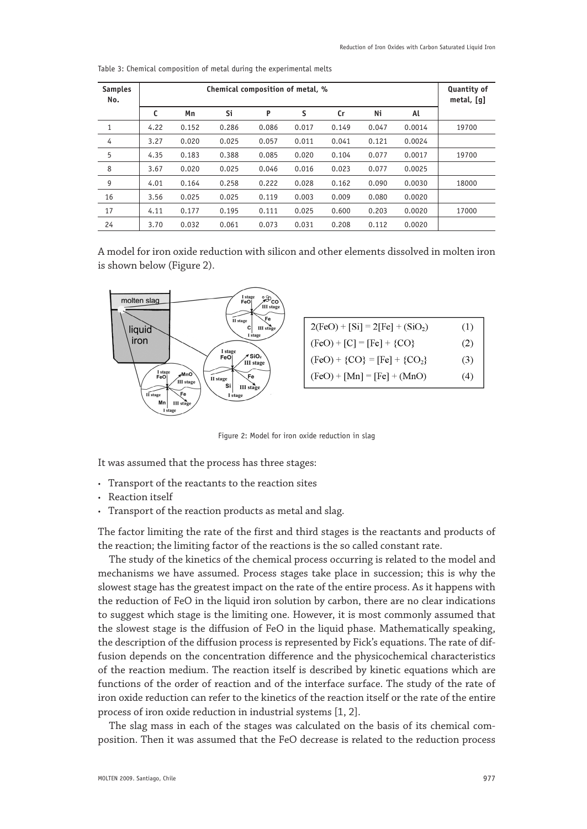| <b>Samples</b><br>No. |      | Quantity of<br>metal, [q] |       |       |       |       |       |        |       |
|-----------------------|------|---------------------------|-------|-------|-------|-------|-------|--------|-------|
|                       | C    | Mn                        | Si    | P     | S     | Cr    | Ni    | Al     |       |
| 1                     | 4.22 | 0.152                     | 0.286 | 0.086 | 0.017 | 0.149 | 0.047 | 0.0014 | 19700 |
| 4                     | 3.27 | 0.020                     | 0.025 | 0.057 | 0.011 | 0.041 | 0.121 | 0.0024 |       |
| 5                     | 4.35 | 0.183                     | 0.388 | 0.085 | 0.020 | 0.104 | 0.077 | 0.0017 | 19700 |
| 8                     | 3.67 | 0.020                     | 0.025 | 0.046 | 0.016 | 0.023 | 0.077 | 0.0025 |       |
| 9                     | 4.01 | 0.164                     | 0.258 | 0.222 | 0.028 | 0.162 | 0.090 | 0.0030 | 18000 |
| 16                    | 3.56 | 0.025                     | 0.025 | 0.119 | 0.003 | 0.009 | 0.080 | 0.0020 |       |
| 17                    | 4.11 | 0.177                     | 0.195 | 0.111 | 0.025 | 0.600 | 0.203 | 0.0020 | 17000 |
| 24                    | 3.70 | 0.032                     | 0.061 | 0.073 | 0.031 | 0.208 | 0.112 | 0.0020 |       |

Table 3: Chemical composition of metal during the experimental melts

A model for iron oxide reduction with silicon and other elements dissolved in molten iron is shown below (Figure 2).



Figure 2: Model for iron oxide reduction in slag

It was assumed that the process has three stages:

- • Transport of the reactants to the reaction sites
- Reaction itself
- Transport of the reaction products as metal and slag.

The factor limiting the rate of the first and third stages is the reactants and products of the reaction; the limiting factor of the reactions is the so called constant rate.

The study of the kinetics of the chemical process occurring is related to the model and mechanisms we have assumed. Process stages take place in succession; this is why the slowest stage has the greatest impact on the rate of the entire process. As it happens with the reduction of FeO in the liquid iron solution by carbon, there are no clear indications to suggest which stage is the limiting one. However, it is most commonly assumed that the slowest stage is the diffusion of FeO in the liquid phase. Mathematically speaking, the description of the diffusion process is represented by Fick's equations. The rate of diffusion depends on the concentration difference and the physicochemical characteristics of the reaction medium. The reaction itself is described by kinetic equations which are functions of the order of reaction and of the interface surface. The study of the rate of iron oxide reduction can refer to the kinetics of the reaction itself or the rate of the entire process of iron oxide reduction in industrial systems [1, 2].

The slag mass in each of the stages was calculated on the basis of its chemical composition. Then it was assumed that the FeO decrease is related to the reduction process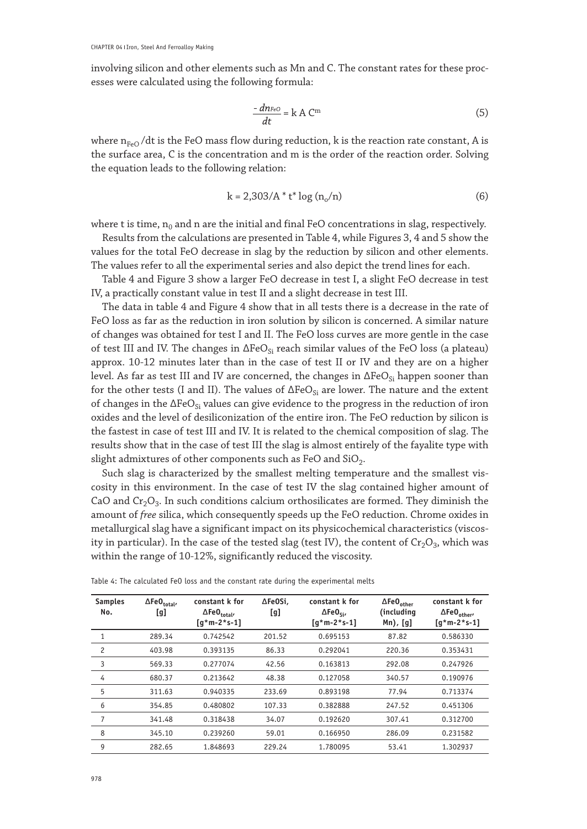involving silicon and other elements such as Mn and C. The constant rates for these processes were calculated using the following formula:

$$
\frac{-dn_{FeO}}{dt} = k A C^m
$$
 (5)

where  $n_{FeO}/dt$  is the FeO mass flow during reduction, k is the reaction rate constant, A is the surface area, C is the concentration and m is the order of the reaction order. Solving the equation leads to the following relation:

$$
k = 2,303/A * t * log (no/n)
$$
 (6)

where t is time,  $n_0$  and n are the initial and final FeO concentrations in slag, respectively.

Results from the calculations are presented in Table 4, while Figures 3, 4 and 5 show the values for the total FeO decrease in slag by the reduction by silicon and other elements. The values refer to all the experimental series and also depict the trend lines for each.

Table 4 and Figure 3 show a larger FeO decrease in test I, a slight FeO decrease in test IV, a practically constant value in test II and a slight decrease in test III.

The data in table 4 and Figure 4 show that in all tests there is a decrease in the rate of FeO loss as far as the reduction in iron solution by silicon is concerned. A similar nature of changes was obtained for test I and II. The FeO loss curves are more gentle in the case of test III and IV. The changes in  $\Delta FeO_{Si}$  reach similar values of the FeO loss (a plateau) approx. 10-12 minutes later than in the case of test II or IV and they are on a higher level. As far as test III and IV are concerned, the changes in  $\Delta FeO_{Si}$  happen sooner than for the other tests (I and II). The values of  $\Delta FeO_{Si}$  are lower. The nature and the extent of changes in the  $\Delta FeO_{Si}$  values can give evidence to the progress in the reduction of iron oxides and the level of desiliconization of the entire iron. The FeO reduction by silicon is the fastest in case of test III and IV. It is related to the chemical composition of slag. The results show that in the case of test III the slag is almost entirely of the fayalite type with slight admixtures of other components such as FeO and  $SiO<sub>2</sub>$ .

Such slag is characterized by the smallest melting temperature and the smallest viscosity in this environment. In the case of test IV the slag contained higher amount of CaO and  $Cr_2O_3$ . In such conditions calcium orthosilicates are formed. They diminish the amount of *free* silica, which consequently speeds up the FeO reduction. Chrome oxides in metallurgical slag have a significant impact on its physicochemical characteristics (viscosity in particular). In the case of the tested slag (test IV), the content of  $Cr_2O_3$ , which was within the range of 10-12%, significantly reduced the viscosity.

| <b>Samples</b><br>No. | $\Delta \mathsf{FeO}_{\mathsf{total}}$<br>[g] | constant k for<br>$\Delta \mathsf{FeO}_{\mathsf{total}\prime}$<br>$[g*m-2*s-1]$ | ∆Fe0Si.<br>[g] | constant k for<br>$\Delta$ FeO <sub>si</sub> ,<br>$\left[\frac{q}{m-2} s - 1\right]$ | $\Delta$ FeO <sub>other</sub><br>(including<br>$Mn)$ , [g] | constant k for<br>$\Delta \mathsf{FeO}_{\sf other'}$<br>$[g*m-2*s-1]$ |
|-----------------------|-----------------------------------------------|---------------------------------------------------------------------------------|----------------|--------------------------------------------------------------------------------------|------------------------------------------------------------|-----------------------------------------------------------------------|
| 1                     | 289.34                                        | 0.742542                                                                        | 201.52         | 0.695153                                                                             | 87.82                                                      | 0.586330                                                              |
| $\overline{c}$        | 403.98                                        | 0.393135                                                                        | 86.33          | 0.292041                                                                             | 220.36                                                     | 0.353431                                                              |
| 3                     | 569.33                                        | 0.277074                                                                        | 42.56          | 0.163813                                                                             | 292.08                                                     | 0.247926                                                              |
| 4                     | 680.37                                        | 0.213642                                                                        | 48.38          | 0.127058                                                                             | 340.57                                                     | 0.190976                                                              |
| 5                     | 311.63                                        | 0.940335                                                                        | 233.69         | 0.893198                                                                             | 77.94                                                      | 0.713374                                                              |
| 6                     | 354.85                                        | 0.480802                                                                        | 107.33         | 0.382888                                                                             | 247.52                                                     | 0.451306                                                              |
| 7                     | 341.48                                        | 0.318438                                                                        | 34.07          | 0.192620                                                                             | 307.41                                                     | 0.312700                                                              |
| 8                     | 345.10                                        | 0.239260                                                                        | 59.01          | 0.166950                                                                             | 286.09                                                     | 0.231582                                                              |
| 9                     | 282.65                                        | 1.848693                                                                        | 229.24         | 1.780095                                                                             | 53.41                                                      | 1.302937                                                              |

Table 4: The calculated FeO loss and the constant rate during the experimental melts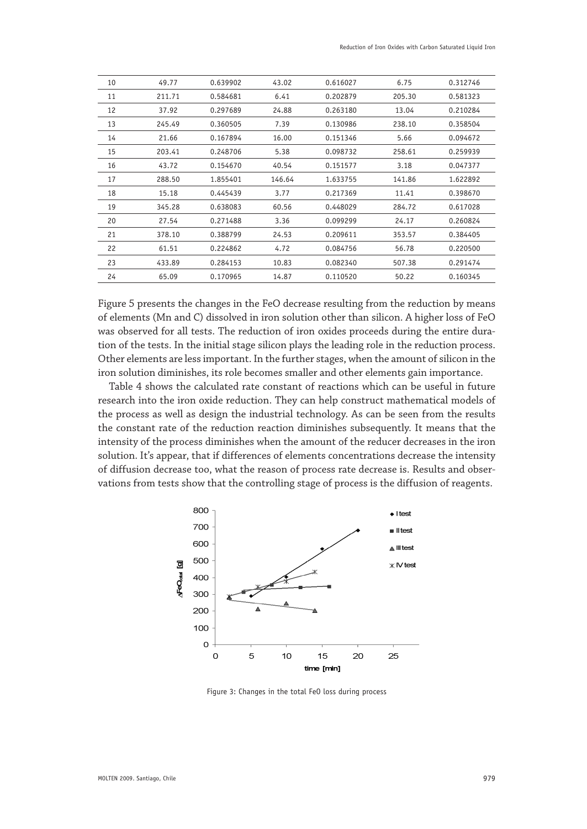| 10 | 49.77  | 0.639902 | 43.02  | 0.616027 | 6.75   | 0.312746 |
|----|--------|----------|--------|----------|--------|----------|
| 11 | 211.71 | 0.584681 | 6.41   | 0.202879 | 205.30 | 0.581323 |
| 12 | 37.92  | 0.297689 | 24.88  | 0.263180 | 13.04  | 0.210284 |
| 13 | 245.49 | 0.360505 | 7.39   | 0.130986 | 238.10 | 0.358504 |
| 14 | 21.66  | 0.167894 | 16.00  | 0.151346 | 5.66   | 0.094672 |
| 15 | 203.41 | 0.248706 | 5.38   | 0.098732 | 258.61 | 0.259939 |
| 16 | 43.72  | 0.154670 | 40.54  | 0.151577 | 3.18   | 0.047377 |
| 17 | 288.50 | 1.855401 | 146.64 | 1.633755 | 141.86 | 1.622892 |
| 18 | 15.18  | 0.445439 | 3.77   | 0.217369 | 11.41  | 0.398670 |
| 19 | 345.28 | 0.638083 | 60.56  | 0.448029 | 284.72 | 0.617028 |
| 20 | 27.54  | 0.271488 | 3.36   | 0.099299 | 24.17  | 0.260824 |
| 21 | 378.10 | 0.388799 | 24.53  | 0.209611 | 353.57 | 0.384405 |
| 22 | 61.51  | 0.224862 | 4.72   | 0.084756 | 56.78  | 0.220500 |
| 23 | 433.89 | 0.284153 | 10.83  | 0.082340 | 507.38 | 0.291474 |
| 24 | 65.09  | 0.170965 | 14.87  | 0.110520 | 50.22  | 0.160345 |

Figure 5 presents the changes in the FeO decrease resulting from the reduction by means of elements (Mn and C) dissolved in iron solution other than silicon. A higher loss of FeO was observed for all tests. The reduction of iron oxides proceeds during the entire duration of the tests. In the initial stage silicon plays the leading role in the reduction process. Other elements are less important. In the further stages, when the amount of silicon in the iron solution diminishes, its role becomes smaller and other elements gain importance.

Table 4 shows the calculated rate constant of reactions which can be useful in future research into the iron oxide reduction. They can help construct mathematical models of the process as well as design the industrial technology. As can be seen from the results the constant rate of the reduction reaction diminishes subsequently. It means that the intensity of the process diminishes when the amount of the reducer decreases in the iron solution. It's appear, that if differences of elements concentrations decrease the intensity of diffusion decrease too, what the reason of process rate decrease is. Results and observations from tests show that the controlling stage of process is the diffusion of reagents.



Figure 3: Changes in the total FeO loss during process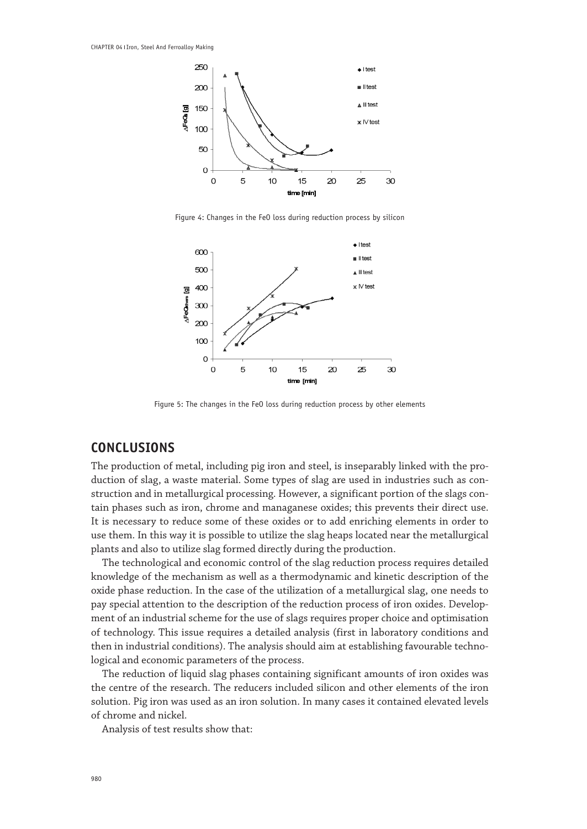

Figure 4: Changes in the FeO loss during reduction process by silicon



Figure 5: The changes in the FeO loss during reduction process by other elements

## **CONCLUSIONS**

The production of metal, including pig iron and steel, is inseparably linked with the production of slag, a waste material. Some types of slag are used in industries such as construction and in metallurgical processing. However, a significant portion of the slags contain phases such as iron, chrome and managanese oxides; this prevents their direct use. It is necessary to reduce some of these oxides or to add enriching elements in order to use them. In this way it is possible to utilize the slag heaps located near the metallurgical plants and also to utilize slag formed directly during the production.

The technological and economic control of the slag reduction process requires detailed knowledge of the mechanism as well as a thermodynamic and kinetic description of the oxide phase reduction. In the case of the utilization of a metallurgical slag, one needs to pay special attention to the description of the reduction process of iron oxides. Development of an industrial scheme for the use of slags requires proper choice and optimisation of technology. This issue requires a detailed analysis (first in laboratory conditions and then in industrial conditions). The analysis should aim at establishing favourable technological and economic parameters of the process.

The reduction of liquid slag phases containing significant amounts of iron oxides was the centre of the research. The reducers included silicon and other elements of the iron solution. Pig iron was used as an iron solution. In many cases it contained elevated levels of chrome and nickel.

Analysis of test results show that: